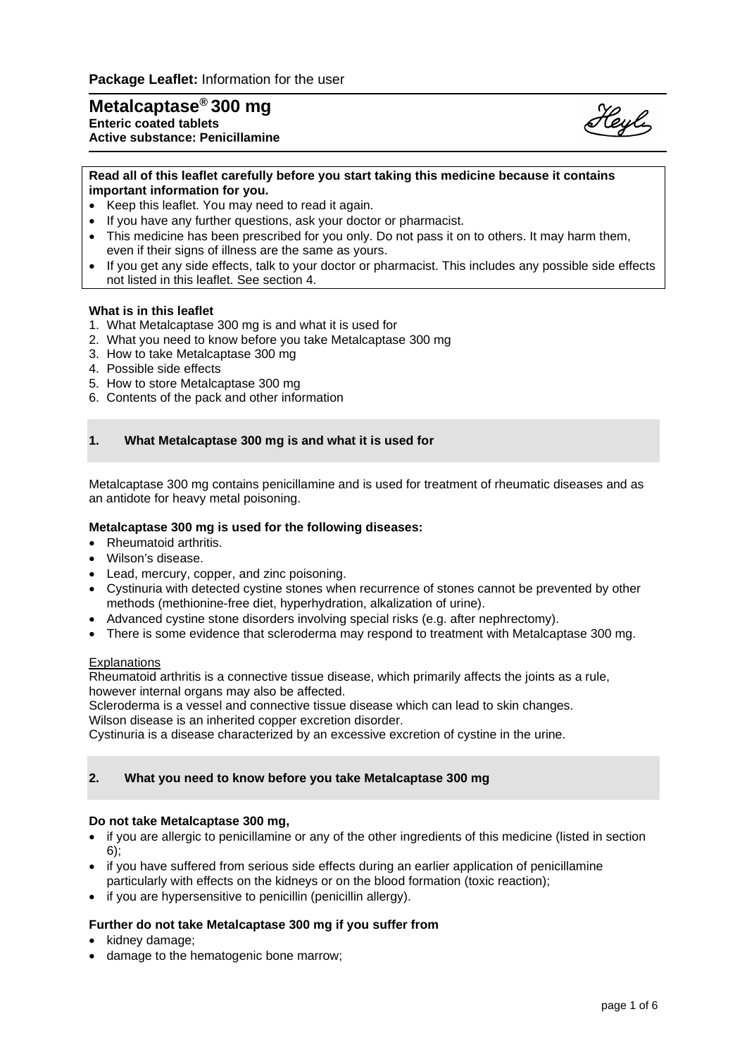# **Metalcaptase® 300 mg Enteric coated tablets Active substance: Penicillamine**



# **Read all of this leaflet carefully before you start taking this medicine because it contains important information for you.**

- Keep this leaflet. You may need to read it again.
- If you have any further questions, ask your doctor or pharmacist.
- This medicine has been prescribed for you only. Do not pass it on to others. It may harm them, even if their signs of illness are the same as yours.
- If you get any side effects, talk to your doctor or pharmacist. This includes any possible side effects not listed in this leaflet. See section 4.

# **What is in this leaflet**

- 1. What Metalcaptase 300 mg is and what it is used for
- 2. What you need to know before you take Metalcaptase 300 mg
- 3. How to take Metalcaptase 300 mg
- 4. Possible side effects
- 5. How to store Metalcaptase 300 mg
- 6. Contents of the pack and other information

# **1. What Metalcaptase 300 mg is and what it is used for**

Metalcaptase 300 mg contains penicillamine and is used for treatment of rheumatic diseases and as an antidote for heavy metal poisoning.

# **Metalcaptase 300 mg is used for the following diseases:**

- Rheumatoid arthritis.
- Wilson's disease.
- Lead, mercury, copper, and zinc poisoning.
- Cystinuria with detected cystine stones when recurrence of stones cannot be prevented by other methods (methionine-free diet, hyperhydration, alkalization of urine).
- Advanced cystine stone disorders involving special risks (e.g. after nephrectomy).
- There is some evidence that scleroderma may respond to treatment with Metalcaptase 300 mg.

#### Explanations

Rheumatoid arthritis is a connective tissue disease, which primarily affects the joints as a rule, however internal organs may also be affected.

Scleroderma is a vessel and connective tissue disease which can lead to skin changes. Wilson disease is an inherited copper excretion disorder.

Cystinuria is a disease characterized by an excessive excretion of cystine in the urine.

# **2. What you need to know before you take Metalcaptase 300 mg**

# **Do not take Metalcaptase 300 mg,**

- if you are allergic to penicillamine or any of the other ingredients of this medicine (listed in section 6);
- if you have suffered from serious side effects during an earlier application of penicillamine particularly with effects on the kidneys or on the blood formation (toxic reaction);
- if you are hypersensitive to penicillin (penicillin allergy).

# **Further do not take Metalcaptase 300 mg if you suffer from**

- kidney damage;
- damage to the hematogenic bone marrow;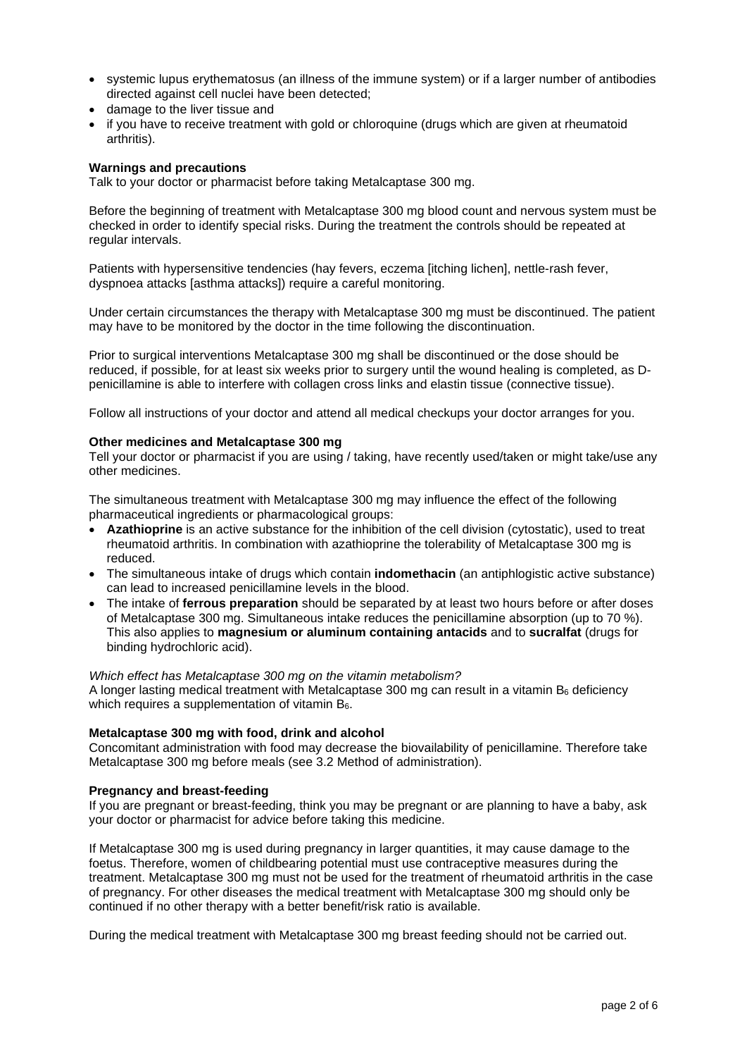- systemic lupus erythematosus (an illness of the immune system) or if a larger number of antibodies directed against cell nuclei have been detected;
- damage to the liver tissue and
- if you have to receive treatment with gold or chloroquine (drugs which are given at rheumatoid arthritis).

# **Warnings and precautions**

Talk to your doctor or pharmacist before taking Metalcaptase 300 mg.

Before the beginning of treatment with Metalcaptase 300 mg blood count and nervous system must be checked in order to identify special risks. During the treatment the controls should be repeated at regular intervals.

Patients with hypersensitive tendencies (hay fevers, eczema [itching lichen], nettle-rash fever, dyspnoea attacks [asthma attacks]) require a careful monitoring.

Under certain circumstances the therapy with Metalcaptase 300 mg must be discontinued. The patient may have to be monitored by the doctor in the time following the discontinuation.

Prior to surgical interventions Metalcaptase 300 mg shall be discontinued or the dose should be reduced, if possible, for at least six weeks prior to surgery until the wound healing is completed, as Dpenicillamine is able to interfere with collagen cross links and elastin tissue (connective tissue).

Follow all instructions of your doctor and attend all medical checkups your doctor arranges for you.

# **Other medicines and Metalcaptase 300 mg**

Tell your doctor or pharmacist if you are using / taking, have recently used/taken or might take/use any other medicines.

The simultaneous treatment with Metalcaptase 300 mg may influence the effect of the following pharmaceutical ingredients or pharmacological groups:

- **Azathioprine** is an active substance for the inhibition of the cell division (cytostatic), used to treat rheumatoid arthritis. In combination with azathioprine the tolerability of Metalcaptase 300 mg is reduced.
- The simultaneous intake of drugs which contain **indomethacin** (an antiphlogistic active substance) can lead to increased penicillamine levels in the blood.
- The intake of **ferrous preparation** should be separated by at least two hours before or after doses of Metalcaptase 300 mg. Simultaneous intake reduces the penicillamine absorption (up to 70 %). This also applies to **magnesium or aluminum containing antacids** and to **sucralfat** (drugs for binding hydrochloric acid).

#### *Which effect has Metalcaptase 300 mg on the vitamin metabolism?*

A longer lasting medical treatment with Metalcaptase 300 mg can result in a vitamin  $B<sub>6</sub>$  deficiency which requires a supplementation of vitamin B<sub>6</sub>.

# **Metalcaptase 300 mg with food, drink and alcohol**

Concomitant administration with food may decrease the biovailability of penicillamine. Therefore take Metalcaptase 300 mg before meals (see 3.2 Method of administration).

# **Pregnancy and breast-feeding**

If you are pregnant or breast-feeding, think you may be pregnant or are planning to have a baby, ask your doctor or pharmacist for advice before taking this medicine.

If Metalcaptase 300 mg is used during pregnancy in larger quantities, it may cause damage to the foetus. Therefore, women of childbearing potential must use contraceptive measures during the treatment. Metalcaptase 300 mg must not be used for the treatment of rheumatoid arthritis in the case of pregnancy. For other diseases the medical treatment with Metalcaptase 300 mg should only be continued if no other therapy with a better benefit/risk ratio is available.

During the medical treatment with Metalcaptase 300 mg breast feeding should not be carried out.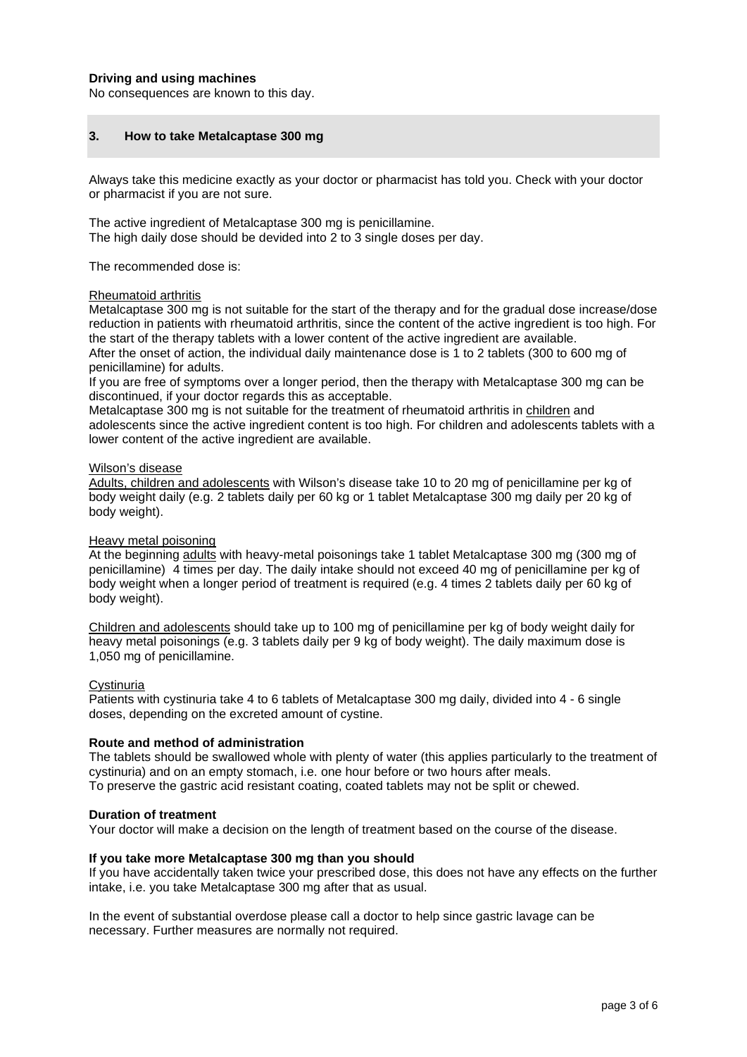# **Driving and using machines**

No consequences are known to this day.

# **3. How to take Metalcaptase 300 mg**

Always take this medicine exactly as your doctor or pharmacist has told you. Check with your doctor or pharmacist if you are not sure.

The active ingredient of Metalcaptase 300 mg is penicillamine. The high daily dose should be devided into 2 to 3 single doses per day.

The recommended dose is:

#### Rheumatoid arthritis

Metalcaptase 300 mg is not suitable for the start of the therapy and for the gradual dose increase/dose reduction in patients with rheumatoid arthritis, since the content of the active ingredient is too high. For the start of the therapy tablets with a lower content of the active ingredient are available.

After the onset of action, the individual daily maintenance dose is 1 to 2 tablets (300 to 600 mg of penicillamine) for adults.

If you are free of symptoms over a longer period, then the therapy with Metalcaptase 300 mg can be discontinued, if your doctor regards this as acceptable.

Metalcaptase 300 mg is not suitable for the treatment of rheumatoid arthritis in children and adolescents since the active ingredient content is too high. For children and adolescents tablets with a lower content of the active ingredient are available.

#### Wilson's disease

Adults, children and adolescents with Wilson's disease take 10 to 20 mg of penicillamine per kg of body weight daily (e.g. 2 tablets daily per 60 kg or 1 tablet Metalcaptase 300 mg daily per 20 kg of body weight).

# Heavy metal poisoning

At the beginning adults with heavy-metal poisonings take 1 tablet Metalcaptase 300 mg (300 mg of penicillamine) 4 times per day. The daily intake should not exceed 40 mg of penicillamine per kg of body weight when a longer period of treatment is required (e.g. 4 times 2 tablets daily per 60 kg of body weight).

Children and adolescents should take up to 100 mg of penicillamine per kg of body weight daily for heavy metal poisonings (e.g. 3 tablets daily per 9 kg of body weight). The daily maximum dose is 1,050 mg of penicillamine.

# **Cystinuria**

Patients with cystinuria take 4 to 6 tablets of Metalcaptase 300 mg daily, divided into 4 - 6 single doses, depending on the excreted amount of cystine.

#### **Route and method of administration**

The tablets should be swallowed whole with plenty of water (this applies particularly to the treatment of cystinuria) and on an empty stomach, i.e. one hour before or two hours after meals. To preserve the gastric acid resistant coating, coated tablets may not be split or chewed.

#### **Duration of treatment**

Your doctor will make a decision on the length of treatment based on the course of the disease.

#### **If you take more Metalcaptase 300 mg than you should**

If you have accidentally taken twice your prescribed dose, this does not have any effects on the further intake, i.e. you take Metalcaptase 300 mg after that as usual.

In the event of substantial overdose please call a doctor to help since gastric lavage can be necessary. Further measures are normally not required.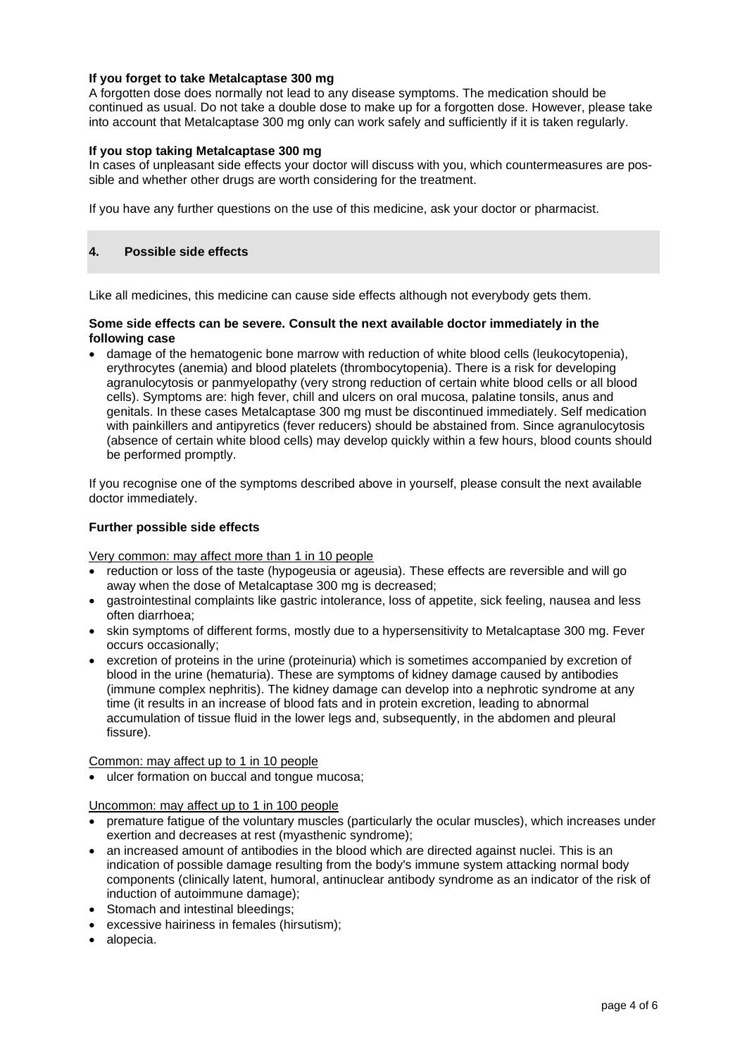# **If you forget to take Metalcaptase 300 mg**

A forgotten dose does normally not lead to any disease symptoms. The medication should be continued as usual. Do not take a double dose to make up for a forgotten dose. However, please take into account that Metalcaptase 300 mg only can work safely and sufficiently if it is taken regularly.

# **If you stop taking Metalcaptase 300 mg**

In cases of unpleasant side effects your doctor will discuss with you, which countermeasures are possible and whether other drugs are worth considering for the treatment.

If you have any further questions on the use of this medicine, ask your doctor or pharmacist.

# **4. Possible side effects**

Like all medicines, this medicine can cause side effects although not everybody gets them.

# **Some side effects can be severe. Consult the next available doctor immediately in the following case**

• damage of the hematogenic bone marrow with reduction of white blood cells (leukocytopenia), erythrocytes (anemia) and blood platelets (thrombocytopenia). There is a risk for developing agranulocytosis or panmyelopathy (very strong reduction of certain white blood cells or all blood cells). Symptoms are: high fever, chill and ulcers on oral mucosa, palatine tonsils, anus and genitals. In these cases Metalcaptase 300 mg must be discontinued immediately. Self medication with painkillers and antipyretics (fever reducers) should be abstained from. Since agranulocytosis (absence of certain white blood cells) may develop quickly within a few hours, blood counts should be performed promptly.

If you recognise one of the symptoms described above in yourself, please consult the next available doctor immediately.

# **Further possible side effects**

Very common: may affect more than 1 in 10 people

- reduction or loss of the taste (hypogeusia or ageusia). These effects are reversible and will go away when the dose of Metalcaptase 300 mg is decreased;
- gastrointestinal complaints like gastric intolerance, loss of appetite, sick feeling, nausea and less often diarrhoea;
- skin symptoms of different forms, mostly due to a hypersensitivity to Metalcaptase 300 mg. Fever occurs occasionally;
- excretion of proteins in the urine (proteinuria) which is sometimes accompanied by excretion of blood in the urine (hematuria). These are symptoms of kidney damage caused by antibodies (immune complex nephritis). The kidney damage can develop into a nephrotic syndrome at any time (it results in an increase of blood fats and in protein excretion, leading to abnormal accumulation of tissue fluid in the lower legs and, subsequently, in the abdomen and pleural fissure).

Common: may affect up to 1 in 10 people

• ulcer formation on buccal and tongue mucosa;

Uncommon: may affect up to 1 in 100 people

- premature fatigue of the voluntary muscles (particularly the ocular muscles), which increases under exertion and decreases at rest (myasthenic syndrome);
- an increased amount of antibodies in the blood which are directed against nuclei. This is an indication of possible damage resulting from the body's immune system attacking normal body components (clinically latent, humoral, antinuclear antibody syndrome as an indicator of the risk of induction of autoimmune damage);
- Stomach and intestinal bleedings;
- excessive hairiness in females (hirsutism);
- alopecia.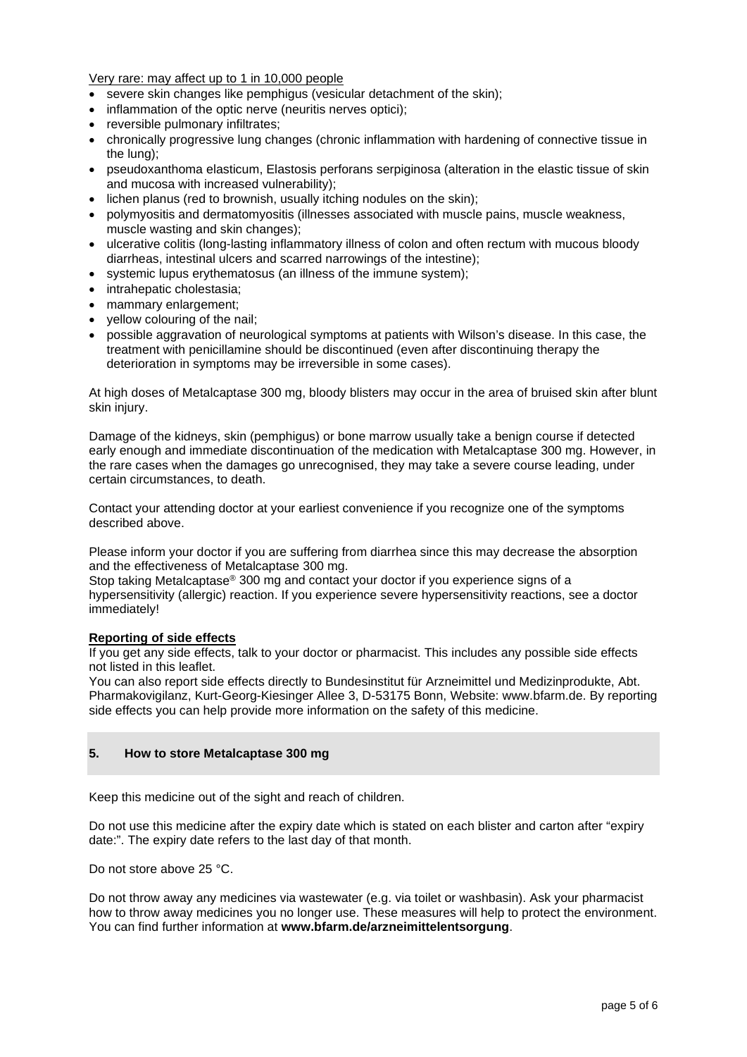Very rare: may affect up to 1 in 10,000 people

- severe skin changes like pemphigus (vesicular detachment of the skin):
- inflammation of the optic nerve (neuritis nerves optici);
- reversible pulmonary infiltrates;
- chronically progressive lung changes (chronic inflammation with hardening of connective tissue in the lung);
- pseudoxanthoma elasticum, Elastosis perforans serpiginosa (alteration in the elastic tissue of skin and mucosa with increased vulnerability);
- lichen planus (red to brownish, usually itching nodules on the skin);
- polymyositis and dermatomyositis (illnesses associated with muscle pains, muscle weakness, muscle wasting and skin changes);
- ulcerative colitis (long-lasting inflammatory illness of colon and often rectum with mucous bloody diarrheas, intestinal ulcers and scarred narrowings of the intestine);
- systemic lupus erythematosus (an illness of the immune system);
- intrahepatic cholestasia;
- mammary enlargement;
- yellow colouring of the nail;
- possible aggravation of neurological symptoms at patients with Wilson's disease. In this case, the treatment with penicillamine should be discontinued (even after discontinuing therapy the deterioration in symptoms may be irreversible in some cases).

At high doses of Metalcaptase 300 mg, bloody blisters may occur in the area of bruised skin after blunt skin injury.

Damage of the kidneys, skin (pemphigus) or bone marrow usually take a benign course if detected early enough and immediate discontinuation of the medication with Metalcaptase 300 mg. However, in the rare cases when the damages go unrecognised, they may take a severe course leading, under certain circumstances, to death.

Contact your attending doctor at your earliest convenience if you recognize one of the symptoms described above.

Please inform your doctor if you are suffering from diarrhea since this may decrease the absorption and the effectiveness of Metalcaptase 300 mg.

Stop taking Metalcaptase® 300 mg and contact your doctor if you experience signs of a hypersensitivity (allergic) reaction. If you experience severe hypersensitivity reactions, see a doctor immediately!

# **Reporting of side effects**

If you get any side effects, talk to your doctor or pharmacist. This includes any possible side effects not listed in this leaflet.

You can also report side effects directly to Bundesinstitut für Arzneimittel und Medizinprodukte, Abt. Pharmakovigilanz, Kurt-Georg-Kiesinger Allee 3, D-53175 Bonn, Website: www.bfarm.de. By reporting side effects you can help provide more information on the safety of this medicine.

# **5. How to store Metalcaptase 300 mg**

Keep this medicine out of the sight and reach of children.

Do not use this medicine after the expiry date which is stated on each blister and carton after "expiry date:". The expiry date refers to the last day of that month.

Do not store above 25 °C.

Do not throw away any medicines via wastewater (e.g. via toilet or washbasin). Ask your pharmacist how to throw away medicines you no longer use. These measures will help to protect the environment. You can find further information at **www.bfarm.de/arzneimittelentsorgung**.